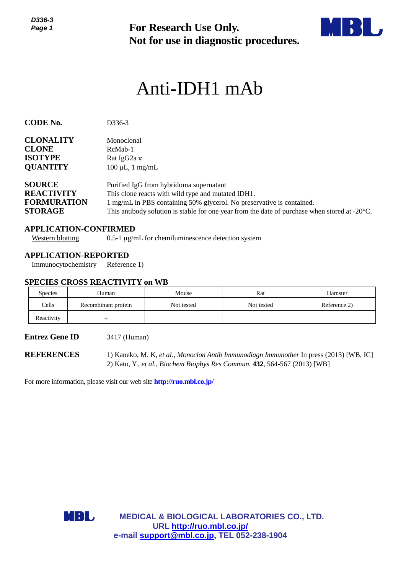*D336-3 Page 1*



# Anti-IDH1 mAb

| ט-טטט<br>Page 1                                                            |                                                                       | <b>For Research Use Only.</b><br>Not for use in diagnostic procedures.                                                                                                                                                                                                            |            |              |  |  |  |
|----------------------------------------------------------------------------|-----------------------------------------------------------------------|-----------------------------------------------------------------------------------------------------------------------------------------------------------------------------------------------------------------------------------------------------------------------------------|------------|--------------|--|--|--|
|                                                                            |                                                                       | Anti-IDH1 mAb                                                                                                                                                                                                                                                                     |            |              |  |  |  |
| <b>CODE No.</b>                                                            | D336-3                                                                |                                                                                                                                                                                                                                                                                   |            |              |  |  |  |
| <b>CLONALITY</b><br><b>CLONE</b><br><b>ISOTYPE</b><br><b>QUANTITY</b>      | Monoclonal<br>RcMab-1<br>Rat IgG2a K                                  | $100 \mu L$ , 1 mg/mL                                                                                                                                                                                                                                                             |            |              |  |  |  |
| <b>SOURCE</b><br><b>REACTIVITY</b><br><b>FORMURATION</b><br><b>STORAGE</b> |                                                                       | Purified IgG from hybridoma supernatant<br>This clone reacts with wild type and mutated IDH1.<br>1 mg/mL in PBS containing 50% glycerol. No preservative is contained.<br>This antibody solution is stable for one year from the date of purchase when stored at $-20^{\circ}$ C. |            |              |  |  |  |
| <b>Western blotting</b>                                                    | <b>APPLICATION-CONFIRMED</b>                                          | $0.5$ -1 $\mu$ g/mL for chemiluminescence detection system                                                                                                                                                                                                                        |            |              |  |  |  |
| Immunocytochemistry                                                        | <b>APPLICATION-REPORTED</b><br>Reference 1)                           |                                                                                                                                                                                                                                                                                   |            |              |  |  |  |
| Species                                                                    | <b>SPECIES CROSS REACTIVITY on WB</b><br>Human                        | Mouse                                                                                                                                                                                                                                                                             | Rat        | Hamster      |  |  |  |
| Cells                                                                      | Recombinant protein                                                   | Not tested                                                                                                                                                                                                                                                                        | Not tested | Reference 2) |  |  |  |
| Reactivity                                                                 | $^{+}$                                                                |                                                                                                                                                                                                                                                                                   |            |              |  |  |  |
| <b>Entrez Gene ID</b>                                                      |                                                                       | 3417 (Human)                                                                                                                                                                                                                                                                      |            |              |  |  |  |
| <b>REFERENCES</b>                                                          |                                                                       | 1) Kaneko, M. K, et al., Monoclon Antib Immunodiagn Immunother In press (2013) [WB, IC]<br>2) Kato, Y., et al., Biochem Biophys Res Commun. 432, 564-567 (2013) [WB]                                                                                                              |            |              |  |  |  |
|                                                                            | For more information, please visit our web site http://ruo.mbl.co.jp/ |                                                                                                                                                                                                                                                                                   |            |              |  |  |  |
|                                                                            |                                                                       |                                                                                                                                                                                                                                                                                   |            |              |  |  |  |
|                                                                            |                                                                       |                                                                                                                                                                                                                                                                                   |            |              |  |  |  |
|                                                                            |                                                                       |                                                                                                                                                                                                                                                                                   |            |              |  |  |  |
|                                                                            |                                                                       |                                                                                                                                                                                                                                                                                   |            |              |  |  |  |
|                                                                            |                                                                       |                                                                                                                                                                                                                                                                                   |            |              |  |  |  |
|                                                                            |                                                                       |                                                                                                                                                                                                                                                                                   |            |              |  |  |  |
|                                                                            | MBL                                                                   | <b>MEDICAL &amp; BIOLOGICAL LABORATORIES CO., LTD.</b>                                                                                                                                                                                                                            |            |              |  |  |  |
|                                                                            |                                                                       | URL http://ruo.mbl.co.jp/<br>e-mail support@mbl.co.jp, TEL 052-238-1904                                                                                                                                                                                                           |            |              |  |  |  |

# **APPLICATION-CONFIRMED**

# **APPLICATION-REPORTED**

## **SPECIES CROSS REACTIVITY on WB**

| <b>Species</b> | Human               | Mouse      | Rat        | Hamster      |
|----------------|---------------------|------------|------------|--------------|
| Cells          | Recombinant protein | Not tested | Not tested | Reference 2) |
| Reactivity     |                     |            |            |              |

#### **Entrez Gene ID** 3417 (Human)

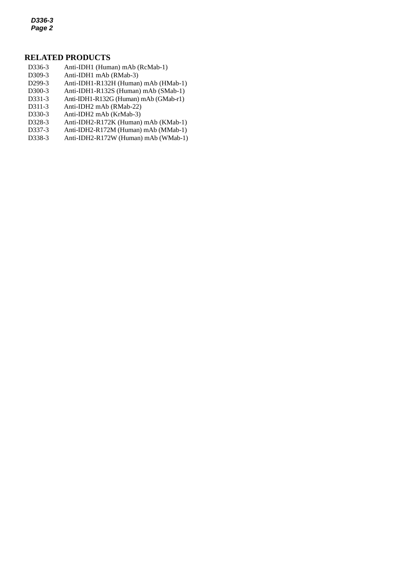*D336-3 Page 2*

## **RELATED PRODUCTS**

- D336-3 Anti-IDH1 (Human) mAb (RcMab-1)
- *2* D309-3 Anti-IDH1 mAb (RMab-3)
- D299-3 Anti-IDH1-R132H (Human) mAb (HMab-1)
- D300-3 Anti-IDH1-R132S (Human) mAb (SMab-1)
- D331-3 Anti-IDH1-R132G (Human) mAb (GMab-r1)
- D311-3 Anti-IDH2 mAb (RMab-22)
- D330-3 Anti-IDH2 mAb (KrMab-3)
- D328-3 [Anti-IDH2-R172K](http://ruo.mbl.co.jp/dtl/A/D328-3/) (Human) mAb (KMab-1)
- D337-3 Anti-IDH2-R172M (Human) mAb (MMab-1)
- D338-3 Anti-IDH2-R172W (Human) mAb (WMab-1)